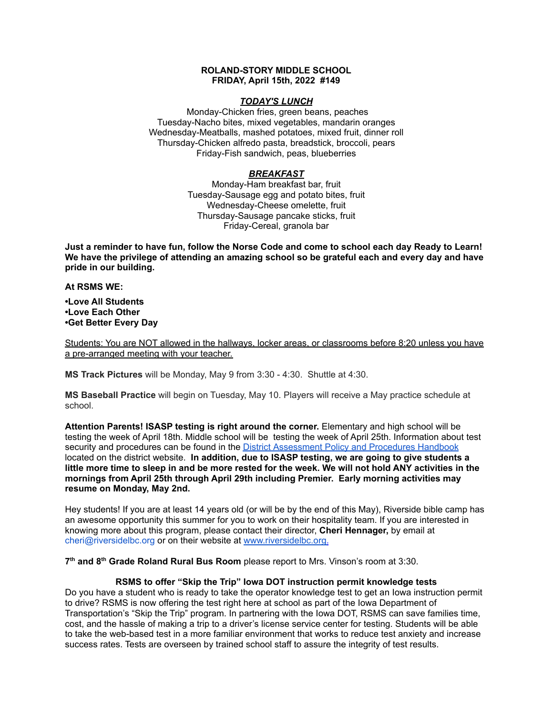### **ROLAND-STORY MIDDLE SCHOOL FRIDAY, April 15th, 2022 #149**

# *TODAY'S LUNCH*

Monday-Chicken fries, green beans, peaches Tuesday-Nacho bites, mixed vegetables, mandarin oranges Wednesday-Meatballs, mashed potatoes, mixed fruit, dinner roll Thursday-Chicken alfredo pasta, breadstick, broccoli, pears Friday-Fish sandwich, peas, blueberries

# *BREAKFAST*

Monday-Ham breakfast bar, fruit Tuesday-Sausage egg and potato bites, fruit Wednesday-Cheese omelette, fruit Thursday-Sausage pancake sticks, fruit Friday-Cereal, granola bar

Just a reminder to have fun, follow the Norse Code and come to school each day Ready to Learn! **We have the privilege of attending an amazing school so be grateful each and every day and have pride in our building.**

**At RSMS WE:**

**•Love All Students •Love Each Other •Get Better Every Day**

Students: You are NOT allowed in the hallways, locker areas, or classrooms before 8:20 unless you have a pre-arranged meeting with your teacher.

**MS Track Pictures** will be Monday, May 9 from 3:30 - 4:30. Shuttle at 4:30.

**MS Baseball Practice** will begin on Tuesday, May 10. Players will receive a May practice schedule at school.

**Attention Parents! ISASP testing is right around the corner.** Elementary and high school will be testing the week of April 18th. Middle school will be testing the week of April 25th. Information about test security and procedures can be found in the **District [Assessment](https://rolandstory.school/media/Michelle%20Soderstrum/RSCSD_District_Assessment_Poli%20-%20Copy%203.pdf) Policy and Procedures Handbook** located on the district website. **In addition, due to ISASP testing, we are going to give students a** little more time to sleep in and be more rested for the week. We will not hold ANY activities in the **mornings from April 25th through April 29th including Premier. Early morning activities may resume on Monday, May 2nd.**

Hey students! If you are at least 14 years old (or will be by the end of this May), Riverside bible camp has an awesome opportunity this summer for you to work on their hospitality team. If you are interested in knowing more about this program, please contact their director, **Cheri Hennager,** by email at cheri@riversidelbc.org or on their website at [www.riversidelbc.org.](http://www.riversidelbc.org/)

**7 th and 8 th Grade Roland Rural Bus Room** please report to Mrs. Vinson's room at 3:30.

# **RSMS to offer "Skip the Trip" Iowa DOT instruction permit knowledge tests**

Do you have a student who is ready to take the operator knowledge test to get an Iowa instruction permit to drive? RSMS is now offering the test right here at school as part of the Iowa Department of Transportation's "Skip the Trip" program. In partnering with the Iowa DOT, RSMS can save families time, cost, and the hassle of making a trip to a driver's license service center for testing. Students will be able to take the web-based test in a more familiar environment that works to reduce test anxiety and increase success rates. Tests are overseen by trained school staff to assure the integrity of test results.